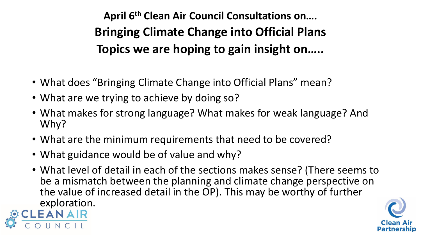**April 6th Clean Air Council Consultations on…. Bringing Climate Change into Official Plans Topics we are hoping to gain insight on…..**

- What does "Bringing Climate Change into Official Plans" mean?
- What are we trying to achieve by doing so?
- What makes for strong language? What makes for weak language? And Why?
- What are the minimum requirements that need to be covered?
- What guidance would be of value and why?
- What level of detail in each of the sections makes sense? (There seems to be a mismatch between the planning and climate change perspective on the value of increased detail in the OP). This may be worthy of further exploration.



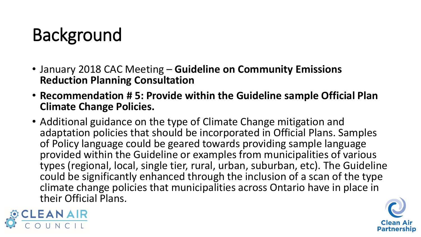# Background

- January 2018 CAC Meeting **Guideline on Community Emissions Reduction Planning Consultation**
- **Recommendation # 5: Provide within the Guideline sample Official Plan Climate Change Policies.**
- Additional guidance on the type of Climate Change mitigation and adaptation policies that should be incorporated in Official Plans. Samples of Policy language could be geared towards providing sample language provided within the Guideline or examples from municipalities of various types (regional, local, single tier, rural, urban, suburban, etc). The Guideline could be significantly enhanced through the inclusion of a scan of the type climate change policies that municipalities across Ontario have in place in their Official Plans.



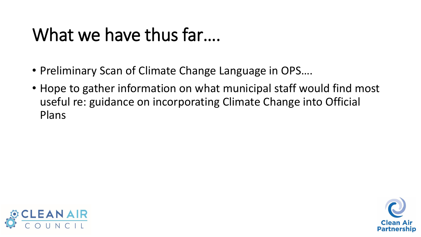## What we have thus far....

- Preliminary Scan of Climate Change Language in OPS….
- Hope to gather information on what municipal staff would find most useful re: guidance on incorporating Climate Change into Official Plans



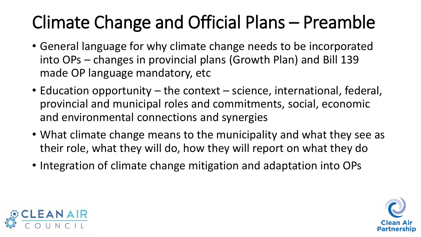# Climate Change and Official Plans – Preamble

- General language for why climate change needs to be incorporated into OPs – changes in provincial plans (Growth Plan) and Bill 139 made OP language mandatory, etc
- Education opportunity the context science, international, federal, provincial and municipal roles and commitments, social, economic and environmental connections and synergies
- What climate change means to the municipality and what they see as their role, what they will do, how they will report on what they do
- Integration of climate change mitigation and adaptation into OPs



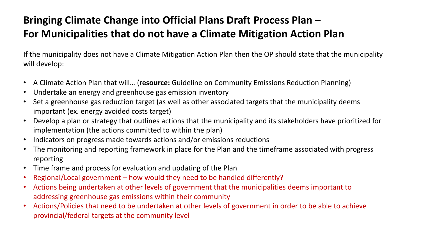#### **Bringing Climate Change into Official Plans Draft Process Plan – For Municipalities that do not have a Climate Mitigation Action Plan**

If the municipality does not have a Climate Mitigation Action Plan then the OP should state that the municipality will develop:

- A Climate Action Plan that will… (**resource:** Guideline on Community Emissions Reduction Planning)
- Undertake an energy and greenhouse gas emission inventory
- Set a greenhouse gas reduction target (as well as other associated targets that the municipality deems important (ex. energy avoided costs target)
- Develop a plan or strategy that outlines actions that the municipality and its stakeholders have prioritized for implementation (the actions committed to within the plan)
- Indicators on progress made towards actions and/or emissions reductions
- The monitoring and reporting framework in place for the Plan and the timeframe associated with progress reporting
- Time frame and process for evaluation and updating of the Plan
- Regional/Local government how would they need to be handled differently?
- Actions being undertaken at other levels of government that the municipalities deems important to addressing greenhouse gas emissions within their community
- Actions/Policies that need to be undertaken at other levels of government in order to be able to achieve provincial/federal targets at the community level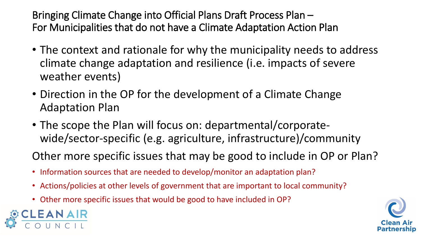Bringing Climate Change into Official Plans Draft Process Plan – For Municipalities that do not have a Climate Adaptation Action Plan

- The context and rationale for why the municipality needs to address climate change adaptation and resilience (i.e. impacts of severe weather events)
- Direction in the OP for the development of a Climate Change Adaptation Plan
- The scope the Plan will focus on: departmental/corporatewide/sector-specific (e.g. agriculture, infrastructure)/community

Other more specific issues that may be good to include in OP or Plan?

- Information sources that are needed to develop/monitor an adaptation plan?
- Actions/policies at other levels of government that are important to local community?
- Other more specific issues that would be good to have included in OP?



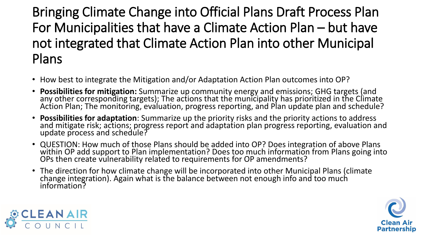### Bringing Climate Change into Official Plans Draft Process Plan For Municipalities that have a Climate Action Plan – but have not integrated that Climate Action Plan into other Municipal Plans

- How best to integrate the Mitigation and/or Adaptation Action Plan outcomes into OP?
- **Possibilities for mitigation:** Summarize up community energy and emissions; GHG targets (and any other corresponding targets); The actions that the municipality has prioritized in the Climate Action Plan; The monitoring, evaluation, progress reporting, and Plan update plan and schedule?
- **Possibilities for adaptation**: Summarize up the priority risks and the priority actions to address and mitigate risk; actions; progress report and adaptation plan progress reporting, evaluation and update process and schedule?
- QUESTION: How much of those Plans should be added into OP? Does integration of above Plans within OP add support to Plan implementation? Does too much information from Plans going into OPs then create vulnerability related to requirements for OP amendments?
- The direction for how climate change will be incorporated into other Municipal Plans (climate change integration). Again what is the balance between not enough info and too much information?



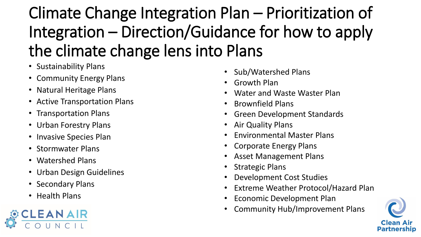Climate Change Integration Plan – Prioritization of Integration – Direction/Guidance for how to apply the climate change lens into Plans

- Sustainability Plans
- Community Energy Plans
- Natural Heritage Plans
- Active Transportation Plans
- Transportation Plans
- Urban Forestry Plans
- Invasive Species Plan
- Stormwater Plans
- Watershed Plans
- Urban Design Guidelines
- Secondary Plans
- Health Plans



- Sub/Watershed Plans
- Growth Plan
- Water and Waste Waster Plan
- Brownfield Plans
- Green Development Standards
- Air Quality Plans
- Environmental Master Plans
- Corporate Energy Plans
- Asset Management Plans
- **Strategic Plans**
- Development Cost Studies
- Extreme Weather Protocol/Hazard Plan
- Economic Development Plan
- Community Hub/Improvement Plans